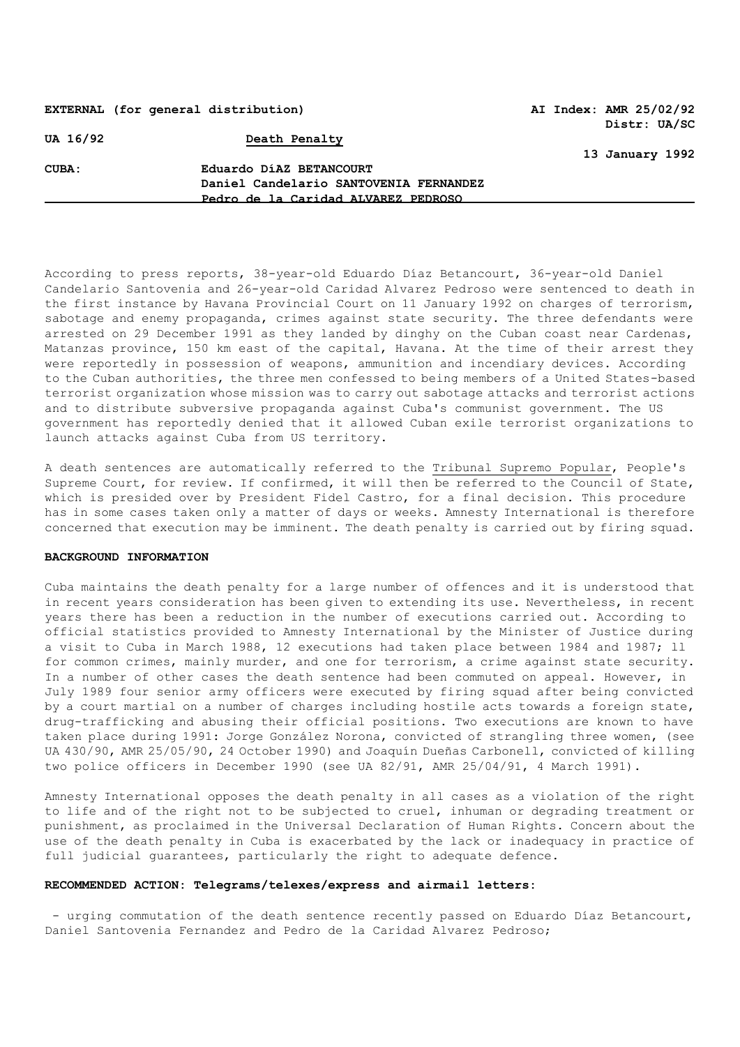## **EXTERNAL (for general distribution) AI Index: AMR 25/02/92**

**Distr: UA/SC** 

**13 January 1992**

**UA 16/92 Death Penalty**

**CUBA: Eduardo DíAZ BETANCOURT Daniel Candelario SANTOVENIA FERNANDEZ Pedro de la Caridad ALVAREZ PEDROSO**

According to press reports, 38-year-old Eduardo Díaz Betancourt, 36-year-old Daniel Candelario Santovenia and 26-year-old Caridad Alvarez Pedroso were sentenced to death in the first instance by Havana Provincial Court on 11 January 1992 on charges of terrorism, sabotage and enemy propaganda, crimes against state security. The three defendants were arrested on 29 December 1991 as they landed by dinghy on the Cuban coast near Cardenas, Matanzas province, 150 km east of the capital, Havana. At the time of their arrest they were reportedly in possession of weapons, ammunition and incendiary devices. According to the Cuban authorities, the three men confessed to being members of a United States-based terrorist organization whose mission was to carry out sabotage attacks and terrorist actions and to distribute subversive propaganda against Cuba's communist government. The US government has reportedly denied that it allowed Cuban exile terrorist organizations to launch attacks against Cuba from US territory.

A death sentences are automatically referred to the **Tribunal Supremo Popular**, People's Supreme Court, for review. If confirmed, it will then be referred to the Council of State, which is presided over by President Fidel Castro, for a final decision. This procedure has in some cases taken only a matter of days or weeks. Amnesty International is therefore concerned that execution may be imminent. The death penalty is carried out by firing squad.

#### **BACKGROUND INFORMATION**

Cuba maintains the death penalty for a large number of offences and it is understood that in recent years consideration has been given to extending its use. Nevertheless, in recent years there has been a reduction in the number of executions carried out. According to official statistics provided to Amnesty International by the Minister of Justice during a visit to Cuba in March 1988, 12 executions had taken place between 1984 and 1987; ll for common crimes, mainly murder, and one for terrorism, a crime against state security. In a number of other cases the death sentence had been commuted on appeal. However, in July 1989 four senior army officers were executed by firing squad after being convicted by a court martial on a number of charges including hostile acts towards a foreign state, drug-trafficking and abusing their official positions. Two executions are known to have taken place during 1991: Jorge González Norona, convicted of strangling three women, (see UA 430/90, AMR 25/05/90, 24 October 1990) and Joaquín Dueñas Carbonell, convicted of killing two police officers in December 1990 (see UA 82/91, AMR 25/04/91, 4 March 1991).

Amnesty International opposes the death penalty in all cases as a violation of the right to life and of the right not to be subjected to cruel, inhuman or degrading treatment or punishment, as proclaimed in the Universal Declaration of Human Rights. Concern about the use of the death penalty in Cuba is exacerbated by the lack or inadequacy in practice of full judicial guarantees, particularly the right to adequate defence.

### **RECOMMENDED ACTION: Telegrams/telexes/express and airmail letters:**

- urging commutation of the death sentence recently passed on Eduardo Díaz Betancourt, Daniel Santovenia Fernandez and Pedro de la Caridad Alvarez Pedroso;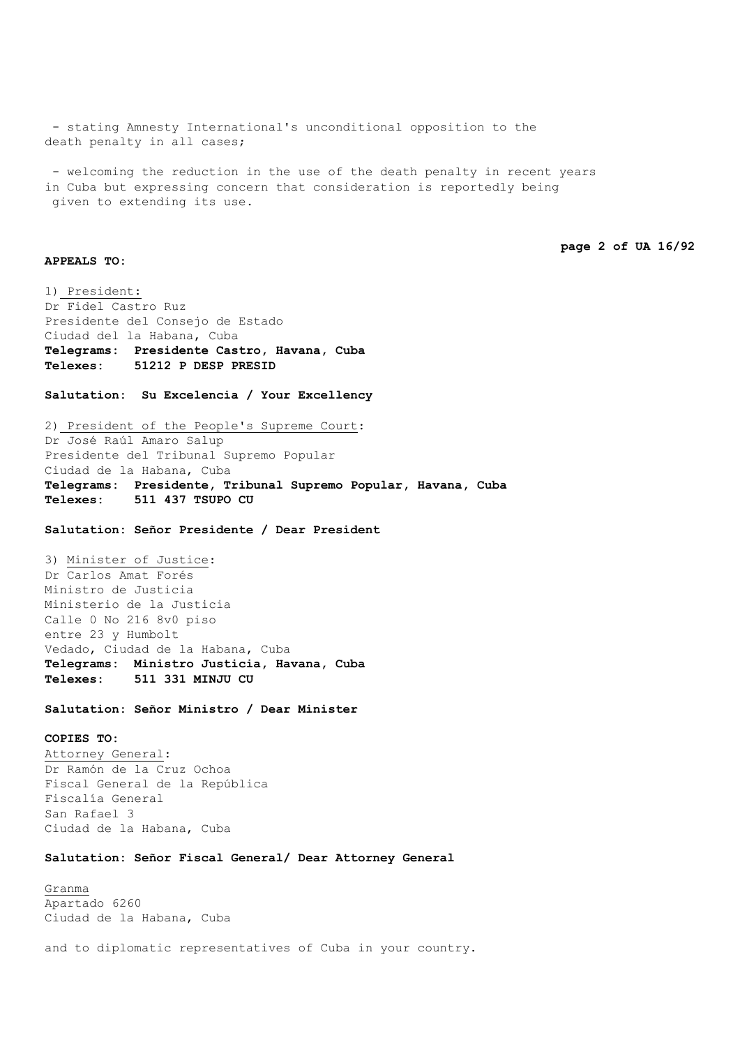- stating Amnesty International's unconditional opposition to the death penalty in all cases;

- welcoming the reduction in the use of the death penalty in recent years in Cuba but expressing concern that consideration is reportedly being given to extending its use.

```
page 2 of UA 16/92
```
### **APPEALS TO:**

1) President: Dr Fidel Castro Ruz Presidente del Consejo de Estado Ciudad del la Habana, Cuba **Telegrams: Presidente Castro, Havana, Cuba Telexes: 51212 P DESP PRESID**

**Salutation: Su Excelencia / Your Excellency**

2) President of the People's Supreme Court: Dr José Raúl Amaro Salup Presidente del Tribunal Supremo Popular Ciudad de la Habana, Cuba **Telegrams: Presidente, Tribunal Supremo Popular, Havana, Cuba Telexes: 511 437 TSUPO CU**

**Salutation: Señor Presidente / Dear President**

3) Minister of Justice: Dr Carlos Amat Forés Ministro de Justicia Ministerio de la Justicia Calle 0 No 216 8v0 piso entre 23 y Humbolt Vedado, Ciudad de la Habana, Cuba **Telegrams: Ministro Justicia, Havana, Cuba Telexes: 511 331 MINJU CU**

**Salutation: Señor Ministro / Dear Minister**

# **COPIES TO:** Attorney General: Dr Ramón de la Cruz Ochoa Fiscal General de la República Fiscalía General San Rafael 3 Ciudad de la Habana, Cuba

**Salutation: Señor Fiscal General/ Dear Attorney General**

Granma Apartado 6260 Ciudad de la Habana, Cuba

and to diplomatic representatives of Cuba in your country.